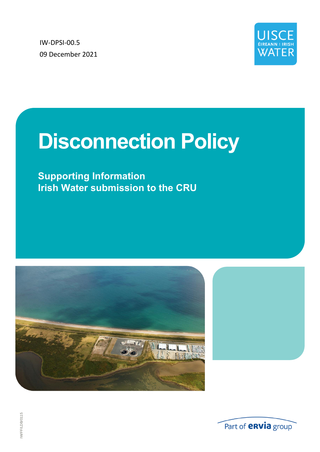IW-DPSI-00.5 09 December 2021



# **Disconnection Policy**

**Supporting Information Irish Water submission to the CRU**





IW/FF/LDB/0115 IW/FF/LDB/0115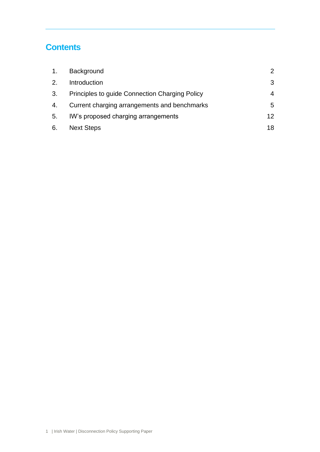## **Contents**

| 1. | Background                                     | $\mathcal{P}$   |
|----|------------------------------------------------|-----------------|
| 2. | Introduction                                   | 3               |
| 3. | Principles to guide Connection Charging Policy | $\overline{4}$  |
| 4. | Current charging arrangements and benchmarks   | 5.              |
| 5. | IW's proposed charging arrangements            | 12 <sub>1</sub> |
| 6. | <b>Next Steps</b>                              | 18              |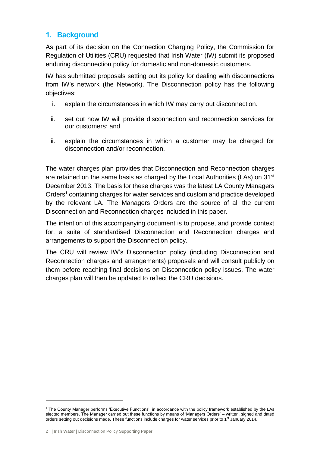## <span id="page-3-0"></span>**1. Background**

As part of its decision on the Connection Charging Policy, the Commission for Regulation of Utilities (CRU) requested that Irish Water (IW) submit its proposed enduring disconnection policy for domestic and non-domestic customers.

IW has submitted proposals setting out its policy for dealing with disconnections from IW's network (the Network). The Disconnection policy has the following objectives:

- i. explain the circumstances in which IW may carry out disconnection.
- ii. set out how IW will provide disconnection and reconnection services for our customers; and
- iii. explain the circumstances in which a customer may be charged for disconnection and/or reconnection.

The water charges plan provides that Disconnection and Reconnection charges are retained on the same basis as charged by the Local Authorities (LAs) on  $31<sup>st</sup>$ December 2013. The basis for these charges was the latest LA County Managers Orders<sup>1</sup> containing charges for water services and custom and practice developed by the relevant LA. The Managers Orders are the source of all the current Disconnection and Reconnection charges included in this paper.

The intention of this accompanying document is to propose, and provide context for, a suite of standardised Disconnection and Reconnection charges and arrangements to support the Disconnection policy.

The CRU will review IW's Disconnection policy (including Disconnection and Reconnection charges and arrangements) proposals and will consult publicly on them before reaching final decisions on Disconnection policy issues. The water charges plan will then be updated to reflect the CRU decisions.

<sup>1</sup> The County Manager performs 'Executive Functions', in accordance with the policy framework established by the LAs elected members. The Manager carried out these functions by means of 'Managers Orders' – written, signed and dated orders setting out decisions made. These functions include charges for water services prior to 1<sup>st</sup> January 2014.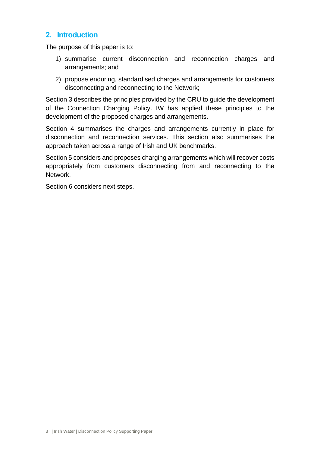## <span id="page-4-0"></span>**2. Introduction**

The purpose of this paper is to:

- 1) summarise current disconnection and reconnection charges and arrangements; and
- 2) propose enduring, standardised charges and arrangements for customers disconnecting and reconnecting to the Network;

Section 3 describes the principles provided by the CRU to guide the development of the Connection Charging Policy. IW has applied these principles to the development of the proposed charges and arrangements.

Section 4 summarises the charges and arrangements currently in place for disconnection and reconnection services. This section also summarises the approach taken across a range of Irish and UK benchmarks.

Section 5 considers and proposes charging arrangements which will recover costs appropriately from customers disconnecting from and reconnecting to the Network.

Section 6 considers next steps.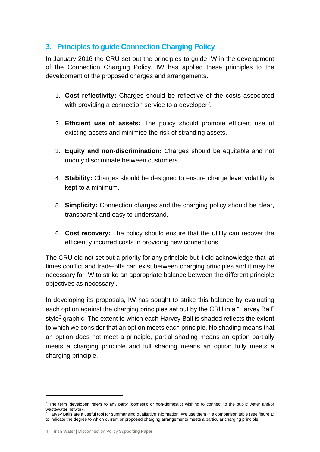## <span id="page-5-0"></span>**3. Principles to guide Connection Charging Policy**

In January 2016 the CRU set out the principles to guide IW in the development of the Connection Charging Policy. IW has applied these principles to the development of the proposed charges and arrangements.

- 1. **Cost reflectivity:** Charges should be reflective of the costs associated with providing a connection service to a developer<sup>2</sup>.
- 2. **Efficient use of assets:** The policy should promote efficient use of existing assets and minimise the risk of stranding assets.
- 3. **Equity and non-discrimination:** Charges should be equitable and not unduly discriminate between customers.
- 4. **Stability:** Charges should be designed to ensure charge level volatility is kept to a minimum.
- 5. **Simplicity:** Connection charges and the charging policy should be clear, transparent and easy to understand.
- 6. **Cost recovery:** The policy should ensure that the utility can recover the efficiently incurred costs in providing new connections.

The CRU did not set out a priority for any principle but it did acknowledge that 'at times conflict and trade-offs can exist between charging principles and it may be necessary for IW to strike an appropriate balance between the different principle objectives as necessary'.

In developing its proposals, IW has sought to strike this balance by evaluating each option against the charging principles set out by the CRU in a "Harvey Ball" style<sup>3</sup> graphic. The extent to which each Harvey Ball is shaded reflects the extent to which we consider that an option meets each principle. No shading means that an option does not meet a principle, partial shading means an option partially meets a charging principle and full shading means an option fully meets a charging principle.

<sup>&</sup>lt;sup>2</sup> The term 'developer' refers to any party (domestic or non-domestic) wishing to connect to the public water and/or wastewater network.

<sup>&</sup>lt;sup>3</sup> Harvey Balls are a useful tool for summarising [qualitative](https://en.wikipedia.org/wiki/Qualitative_data) information. We use them in a comparison table (see figure 1) to indicate the degree to which current or proposed charging arrangements meets a particular charging principle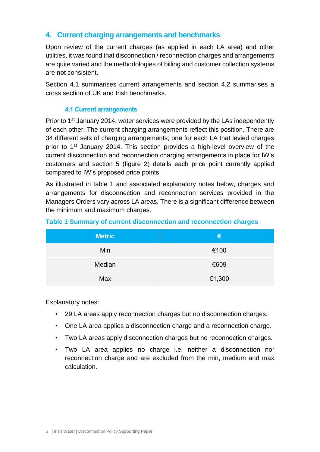## <span id="page-6-0"></span>**4. Current charging arrangements and benchmarks**

Upon review of the current charges (as applied in each LA area) and other utilities, it was found that disconnection / reconnection charges and arrangements are quite varied and the methodologies of billing and customer collection systems are not consistent.

Section 4.1 summarises current arrangements and section 4.2 summarises a cross section of UK and Irish benchmarks.

#### **4.1 Current arrangements**

Prior to 1<sup>st</sup> January 2014, water services were provided by the LAs independently of each other. The current charging arrangements reflect this position. There are 34 different sets of charging arrangements; one for each LA that levied charges prior to 1st January 2014. This section provides a high-level overview of the current disconnection and reconnection charging arrangements in place for IW's customers and section 5 (figure 2) details each price point currently applied compared to IW's proposed price points.

As illustrated in table 1 and associated explanatory notes below, charges and arrangements for disconnection and reconnection services provided in the Managers Orders vary across LA areas. There is a significant difference between the minimum and maximum charges.

| <b>Metric</b> | €      |
|---------------|--------|
| Min           | €100   |
| Median        | €609   |
| Max           | €1,300 |

#### **Table 1 Summary of current disconnection and reconnection charges**

Explanatory notes:

- 29 LA areas apply reconnection charges but no disconnection charges.
- One LA area applies a disconnection charge and a reconnection charge.
- Two LA areas apply disconnection charges but no reconnection charges.
- Two LA area applies no charge i.e. neither a disconnection nor reconnection charge and are excluded from the min, medium and max calculation.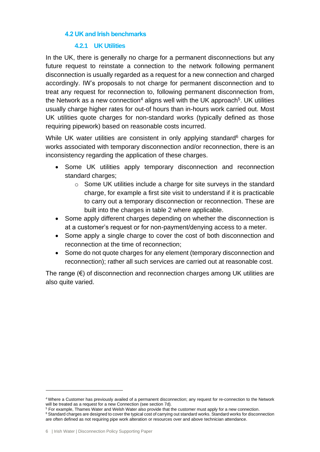#### **4.2 UK and Irish benchmarks**

#### **4.2.1 UK Utilities**

In the UK, there is generally no charge for a permanent disconnections but any future request to reinstate a connection to the network following permanent disconnection is usually regarded as a request for a new connection and charged accordingly. IW's proposals to not charge for permanent disconnection and to treat any request for reconnection to, following permanent disconnection from, the Network as a new connection<sup>4</sup> aligns well with the UK approach<sup>5</sup>. UK utilities usually charge higher rates for out-of hours than in-hours work carried out. Most UK utilities quote charges for non-standard works (typically defined as those requiring pipework) based on reasonable costs incurred.

While UK water utilities are consistent in only applying standard<sup>6</sup> charges for works associated with temporary disconnection and/or reconnection, there is an inconsistency regarding the application of these charges.

- Some UK utilities apply temporary disconnection and reconnection standard charges;
	- o Some UK utilities include a charge for site surveys in the standard charge, for example a first site visit to understand if it is practicable to carry out a temporary disconnection or reconnection. These are built into the charges in table 2 where applicable.
- Some apply different charges depending on whether the disconnection is at a customer's request or for non-payment/denying access to a meter.
- Some apply a single charge to cover the cost of both disconnection and reconnection at the time of reconnection;
- Some do not quote charges for any element (temporary disconnection and reconnection); rather all such services are carried out at reasonable cost.

The range  $(\epsilon)$  of disconnection and reconnection charges among UK utilities are also quite varied.

<sup>4</sup> Where a Customer has previously availed of a permanent disconnection; any request for re-connection to the Network will be treated as a request for a new Connection (see section 7d).

<sup>&</sup>lt;sup>5</sup> For example, Thames Water and Welsh Water also provide that the customer must apply for a new connection. <sup>6</sup> Standard charges are designed to cover the typical cost of carrying out standard works. Standard works for disconnection are often defined as not requiring pipe work alteration or resources over and above technician attendance.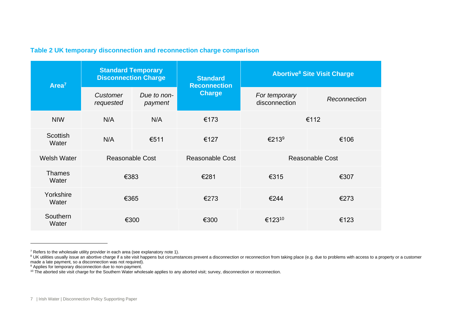#### **Table 2 UK temporary disconnection and reconnection charge comparison**

| Area <sup>7</sup>        | <b>Standard Temporary</b><br><b>Disconnection Charge</b> |                        | <b>Standard</b><br><b>Reconnection</b> | <b>Abortive<sup>8</sup> Site Visit Charge</b> |              |
|--------------------------|----------------------------------------------------------|------------------------|----------------------------------------|-----------------------------------------------|--------------|
|                          | Customer<br>requested                                    | Due to non-<br>payment | <b>Charge</b>                          | For temporary<br>disconnection                | Reconnection |
| <b>NIW</b>               | N/A                                                      | N/A                    | €173                                   | €112                                          |              |
| <b>Scottish</b><br>Water | N/A                                                      | €511                   | €127                                   | €213 <sup>9</sup>                             | €106         |
| Welsh Water              | <b>Reasonable Cost</b>                                   |                        | <b>Reasonable Cost</b>                 | <b>Reasonable Cost</b>                        |              |
| <b>Thames</b><br>Water   | €383                                                     |                        | €281                                   | €315                                          | €307         |
| Yorkshire<br>Water       | €365                                                     |                        | €273                                   | €244                                          | €273         |
| Southern<br>Water        | €300                                                     |                        | €300                                   | €12310                                        | €123         |

 $7$  Refers to the wholesale utility provider in each area (see explanatory note 1).

<sup>&</sup>lt;sup>8</sup> UK utilities usually issue an abortive charge if a site visit happens but circumstances prevent a disconnection or reconnection from taking place (e.g. due to problems with access to a property or a customer made a late payment, so a disconnection was not required).

<sup>&</sup>lt;sup>9</sup> Applies for temporary disconnection due to non-payment.

<sup>&</sup>lt;sup>10</sup> The aborted site visit charge for the Southern Water wholesale applies to any aborted visit; survey, disconnection or reconnection.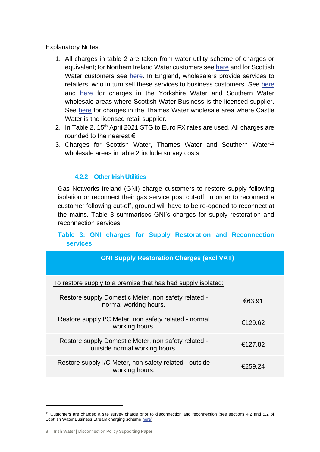Explanatory Notes:

- 1. All charges in table 2 are taken from water utility scheme of charges or equivalent; for Northern Ireland Water customers see [here](https://www.niwater.com/sitefiles/resources/pdf/watercharges/202122/schemeofcharges202122.pdf) and for Scottish Water customers see [here.](https://www.business-stream.co.uk/images/uploads/general/Scotland_Contracted_charges_2020-21_v1.pdf) In England, wholesalers provide services to retailers, who in turn sell these services to business customers. See [here](https://www.business-stream.co.uk/images/uploads/general/BS_charges_statement_-_Yorkshire_2020-21_final_v1.pdf) and [here](https://www.business-stream.co.uk/images/uploads/general/BS_charges_statement_-_Southern_2020-21_final_V1.pdf) for charges in the Yorkshire Water and Southern Water wholesale areas where Scottish Water Business is the licensed supplier. See [here](https://www.castlewater.co.uk/__data/assets/pdf_file/0025/49453/TW-Scheme-of-Charges-2020-21-Formatted-v2.pdf) for charges in the Thames Water wholesale area where Castle Water is the licensed retail supplier.
- 2. In Table 2, 15<sup>th</sup> April 2021 STG to Euro FX rates are used. All charges are rounded to the nearest €.
- 3. Charges for Scottish Water, Thames Water and Southern Water<sup>11</sup> wholesale areas in table 2 include survey costs.

## **4.2.2 Other Irish Utilities**

Gas Networks Ireland (GNI) charge customers to restore supply following isolation or reconnect their gas service post cut-off. In order to reconnect a customer following cut-off, ground will have to be re-opened to reconnect at the mains. Table 3 summarises GNI's charges for supply restoration and reconnection services.

## **Table 3: GNI charges for Supply Restoration and Reconnection services**

| <b>GNI Supply Restoration Charges (excl VAT)</b>                                     |         |
|--------------------------------------------------------------------------------------|---------|
| To restore supply to a premise that has had supply isolated:                         |         |
| Restore supply Domestic Meter, non safety related -<br>normal working hours.         | €63.91  |
| Restore supply I/C Meter, non safety related - normal<br>working hours.              | €129.62 |
| Restore supply Domestic Meter, non safety related -<br>outside normal working hours. | €127.82 |
| Restore supply I/C Meter, non safety related - outside<br>working hours.             | €259.24 |

<sup>11</sup> Customers are charged a site survey charge prior to disconnection and reconnection (see sections 4.2 and 5.2 of Scottish Water Business Stream charging scheme [here\)](https://www.business-stream.co.uk/images/uploads/general/BS_charges_statement_-_Southern_2020-21_final_V1.pdf)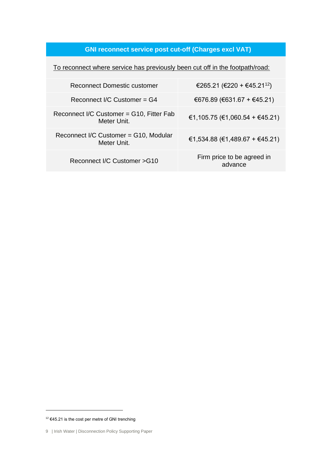## **GNI reconnect service post cut-off (Charges excl VAT)**

To reconnect where service has previously been cut off in the footpath/road:

| Reconnect Domestic customer                             | €265.21 (€220 + €45.21 <sup>12</sup> ) |
|---------------------------------------------------------|----------------------------------------|
| Reconnect I/C Customer = G4                             | €676.89 (€631.67 + €45.21)             |
| Reconnect I/C Customer = G10, Fitter Fab<br>Meter Unit. | €1,105.75 (€1,060.54 + €45.21)         |
| Reconnect I/C Customer = G10, Modular<br>Meter Unit.    | €1,534.88 (€1,489.67 + €45.21)         |
| Reconnect I/C Customer > G10                            | Firm price to be agreed in<br>advance  |

 $12$  €45.21 is the cost per metre of GNI trenching

<sup>9 |</sup> Irish Water | Disconnection Policy Supporting Paper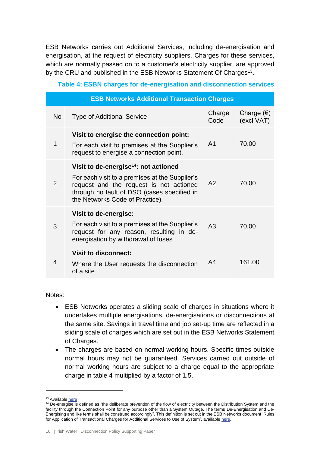ESB Networks carries out Additional Services, including de-energisation and energisation, at the request of electricity suppliers. Charges for these services, which are normally passed on to a customer's electricity supplier, are approved by the CRU and published in the ESB Networks Statement Of Charges<sup>13</sup>.

| <b>ESB Networks Additional Transaction Charges</b> |                                                                                                                                                                                                                                  |                |                                   |  |  |
|----------------------------------------------------|----------------------------------------------------------------------------------------------------------------------------------------------------------------------------------------------------------------------------------|----------------|-----------------------------------|--|--|
| No                                                 | <b>Type of Additional Service</b>                                                                                                                                                                                                | Charge<br>Code | Charge $(\epsilon)$<br>(excl VAT) |  |  |
| 1                                                  | Visit to energise the connection point:<br>For each visit to premises at the Supplier's<br>request to energise a connection point.                                                                                               | A <sub>1</sub> | 70.00                             |  |  |
| $\overline{2}$                                     | Visit to de-energise <sup>14</sup> : not actioned<br>For each visit to a premises at the Supplier's<br>request and the request is not actioned<br>through no fault of DSO (cases specified in<br>the Networks Code of Practice). | A <sub>2</sub> | 70.00                             |  |  |
| 3                                                  | Visit to de-energise:<br>For each visit to a premises at the Supplier's<br>request for any reason, resulting in de-<br>energisation by withdrawal of fuses                                                                       | A <sub>3</sub> | 70.00                             |  |  |
| 4                                                  | <b>Visit to disconnect:</b><br>Where the User requests the disconnection<br>of a site                                                                                                                                            | A <sub>4</sub> | 161.00                            |  |  |

#### **Table 4: ESBN charges for de-energisation and disconnection services**

#### Notes:

- ESB Networks operates a sliding scale of charges in situations where it undertakes multiple energisations, de-energisations or disconnections at the same site. Savings in travel time and job set-up time are reflected in a sliding scale of charges which are set out in the ESB Networks Statement of Charges.
- The charges are based on normal working hours. Specific times outside normal hours may not be guaranteed. Services carried out outside of normal working hours are subject to a charge equal to the appropriate charge in table 4 multiplied by a factor of 1.5.

<sup>&</sup>lt;sup>13</sup> Availabl[e here](https://www.esbnetworks.ie/docs/default-source/publications/esb-networks-dac-statement-of-charges.pdf)

 $14$  De-energise is defined as "the deliberate prevention of the flow of electricity between the Distribution System and the facility through the Connection Point for any purpose other than a System Outage. The terms De-Energisation and De-Energising and like terms shall be construed accordingly". This definition is set out in the ESB Networks document 'Rules for Application of Transactional Charges for Additional Services to Use of System', availabl[e here.](https://www.esbnetworks.ie/docs/default-source/publications/rules-for-application-of-transactional-charges-for-additional-services-to-use-of-system.pdf?sfvrsn=2c4b33f0_4)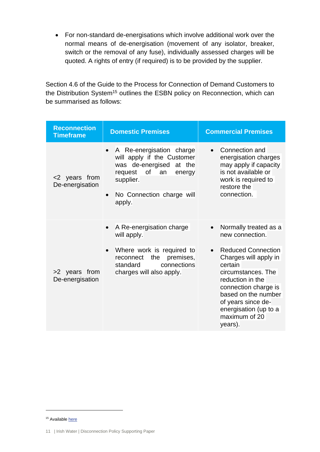• For non-standard de-energisations which involve additional work over the normal means of de-energisation (movement of any isolator, breaker, switch or the removal of any fuse), individually assessed charges will be quoted. A rights of entry (if required) is to be provided by the supplier.

Section 4.6 of the Guide to the Process for Connection of Demand Customers to the Distribution System<sup>15</sup> outlines the ESBN policy on Reconnection, which can be summarised as follows:

| <b>Reconnection</b><br><b>Timeframe</b> | <b>Domestic Premises</b>                                                                                                                                                            | <b>Commercial Premises</b>                                                                                                                                                                                                                     |  |  |
|-----------------------------------------|-------------------------------------------------------------------------------------------------------------------------------------------------------------------------------------|------------------------------------------------------------------------------------------------------------------------------------------------------------------------------------------------------------------------------------------------|--|--|
| <2 years from<br>De-energisation        | A Re-energisation charge<br>will apply if the Customer<br>was de-energised at the<br>0f<br>request<br>an<br>energy<br>supplier.<br>No Connection charge will<br>$\bullet$<br>apply. | Connection and<br>energisation charges<br>may apply if capacity<br>is not available or<br>work is required to<br>restore the<br>connection.                                                                                                    |  |  |
|                                         | A Re-energisation charge<br>$\bullet$<br>will apply.                                                                                                                                | Normally treated as a<br>$\bullet$<br>new connection.                                                                                                                                                                                          |  |  |
| >2 years from<br>De-energisation        | Where work is required to<br>$\bullet$<br>the<br>premises,<br>reconnect<br>connections<br>standard<br>charges will also apply.                                                      | <b>Reduced Connection</b><br>$\bullet$<br>Charges will apply in<br>certain<br>circumstances. The<br>reduction in the<br>connection charge is<br>based on the number<br>of years since de-<br>energisation (up to a<br>maximum of 20<br>years). |  |  |

<sup>&</sup>lt;sup>15</sup> Availabl[e here](https://www.esbnetworks.ie/docs/default-source/publications/guide-to-the-process-for-connection-of-demand-customers-to-the-distribution-system.pdf?sfvrsn=9b4433f0_4)

<sup>11 |</sup> Irish Water | Disconnection Policy Supporting Paper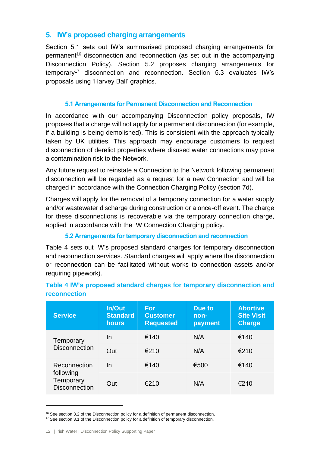## <span id="page-13-0"></span>**5. IW's proposed charging arrangements**

Section 5.1 sets out IW's summarised proposed charging arrangements for permanent<sup>16</sup> disconnection and reconnection (as set out in the accompanying Disconnection Policy). Section 5.2 proposes charging arrangements for temporary<sup>17</sup> disconnection and reconnection. Section 5.3 evaluates IW's proposals using 'Harvey Ball' graphics.

## **5.1 Arrangements for Permanent Disconnection and Reconnection**

In accordance with our accompanying Disconnection policy proposals, IW proposes that a charge will not apply for a permanent disconnection (for example, if a building is being demolished). This is consistent with the approach typically taken by UK utilities. This approach may encourage customers to request disconnection of derelict properties where disused water connections may pose a contamination risk to the Network.

Any future request to reinstate a Connection to the Network following permanent disconnection will be regarded as a request for a new Connection and will be charged in accordance with the Connection Charging Policy (section 7d).

Charges will apply for the removal of a temporary connection for a water supply and/or wastewater discharge during construction or a once-off event. The charge for these disconnections is recoverable via the temporary connection charge, applied in accordance with the IW Connection Charging policy.

## **5.2 Arrangements for temporary disconnection and reconnection**

Table 4 sets out IW's proposed standard charges for temporary disconnection and reconnection services. Standard charges will apply where the disconnection or reconnection can be facilitated without works to connection assets and/or requiring pipework).

| <b>Service</b>                                 | <b>In/Out</b><br><b>Standard</b><br>hours | For<br><b>Customer</b><br><b>Requested</b> | Due to<br>non-<br>payment | <b>Abortive</b><br><b>Site Visit</b><br><b>Charge</b> |
|------------------------------------------------|-------------------------------------------|--------------------------------------------|---------------------------|-------------------------------------------------------|
| Temporary                                      | In                                        | €140                                       | N/A                       | €140                                                  |
| <b>Disconnection</b>                           | Out                                       | €210                                       | N/A                       | €210                                                  |
| Reconnection                                   | <u>In</u>                                 | €140                                       | €500                      | €140                                                  |
| following<br>Temporary<br><b>Disconnection</b> | Out                                       | €210                                       | N/A                       | €210                                                  |

## **Table 4 IW's proposed standard charges for temporary disconnection and reconnection**

<sup>&</sup>lt;sup>16</sup> See section 3.2 of the Disconnection policy for a definition of permanent disconnection. <sup>17</sup> See section 3.1 of the Disconnection policy for a definition of temporary disconnection.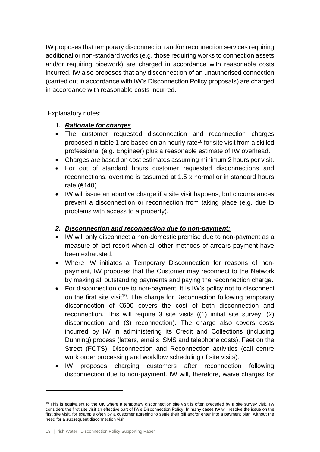IW proposes that temporary disconnection and/or reconnection services requiring additional or non-standard works (e.g. those requiring works to connection assets and/or requiring pipework) are charged in accordance with reasonable costs incurred. IW also proposes that any disconnection of an unauthorised connection (carried out in accordance with IW's Disconnection Policy proposals) are charged in accordance with reasonable costs incurred.

Explanatory notes:

## *1. Rationale for charges*

- The customer requested disconnection and reconnection charges proposed in table 1 are based on an hourly rate<sup>18</sup> for site visit from a skilled professional (e.g. Engineer) plus a reasonable estimate of IW overhead.
- Charges are based on cost estimates assuming minimum 2 hours per visit.
- For out of standard hours customer requested disconnections and reconnections, overtime is assumed at 1.5 x normal or in standard hours rate (€140).
- IW will issue an abortive charge if a site visit happens, but circumstances prevent a disconnection or reconnection from taking place (e.g. due to problems with access to a property).

## *2. Disconnection and reconnection due to non-payment:*

- IW will only disconnect a non-domestic premise due to non-payment as a measure of last resort when all other methods of arrears payment have been exhausted.
- Where IW initiates a Temporary Disconnection for reasons of nonpayment, IW proposes that the Customer may reconnect to the Network by making all outstanding payments and paying the reconnection charge.
- For disconnection due to non-payment, it is IW's policy not to disconnect on the first site visit<sup>19</sup>. The charge for Reconnection following temporary disconnection of €500 covers the cost of both disconnection and reconnection. This will require 3 site visits ((1) initial site survey, (2) disconnection and (3) reconnection). The charge also covers costs incurred by IW in administering its Credit and Collections (including Dunning) process (letters, emails, SMS and telephone costs), Feet on the Street (FOTS), Disconnection and Reconnection activities (call centre work order processing and workflow scheduling of site visits).
- IW proposes charging customers after reconnection following disconnection due to non-payment. IW will, therefore, waive charges for

 $19$  This is equivalent to the UK where a temporary disconnection site visit is often preceded by a site survey visit. IW considers the first site visit an effective part of IW's Disconnection Policy. In many cases IW will resolve the issue on the first site visit, for example often by a customer agreeing to settle their bill and/or enter into a payment plan, without the need for a subsequent disconnection visit.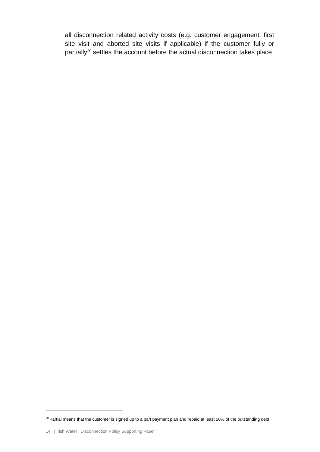all disconnection related activity costs (e.g. customer engagement, first site visit and aborted site visits if applicable) if the customer fully or partially<sup>20</sup> settles the account before the actual disconnection takes place.

 $20$  Partial means that the customer is signed up to a part payment plan and repaid at least 50% of the outstanding debt.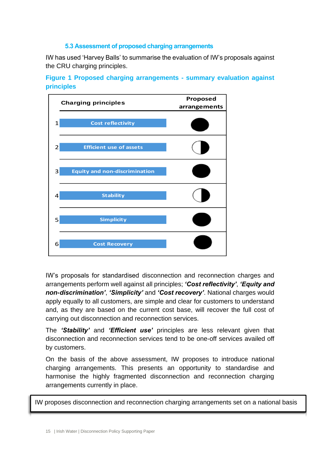#### **5.3 Assessment of proposed charging arrangements**

IW has used 'Harvey Balls' to summarise the evaluation of IW's proposals against the CRU charging principles.

**Figure 1 Proposed charging arrangements - summary evaluation against principles**



IW's proposals for standardised disconnection and reconnection charges and arrangements perform well against all principles; *'Cost reflectivity'*, *'Equity and non-discrimination'*, *'Simplicity'* and *'Cost recovery'*. National charges would apply equally to all customers, are simple and clear for customers to understand and, as they are based on the current cost base, will recover the full cost of carrying out disconnection and reconnection services.

The *'Stability'* and *'Efficient use'* principles are less relevant given that disconnection and reconnection services tend to be one-off services availed off by customers.

On the basis of the above assessment, IW proposes to introduce national charging arrangements. This presents an opportunity to standardise and harmonise the highly fragmented disconnection and reconnection charging arrangements currently in place.

IW proposes disconnection and reconnection charging arrangements set on a national basis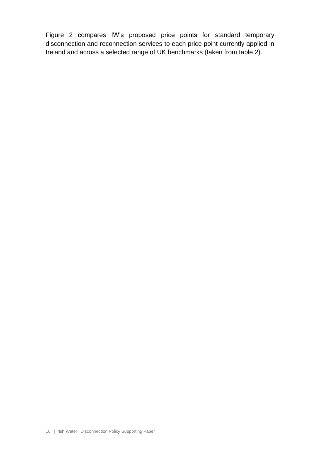Figure 2 compares IW's proposed price points for standard temporary disconnection and reconnection services to each price point currently applied in Ireland and across a selected range of UK benchmarks (taken from table 2).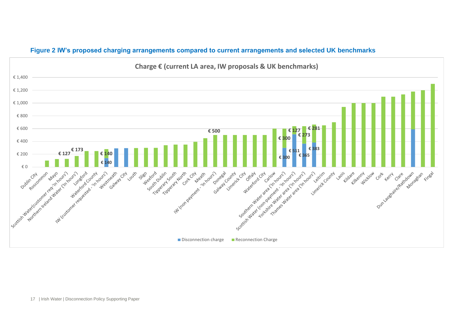

#### **Figure 2 IW's proposed charging arrangements compared to current arrangements and selected UK benchmarks**